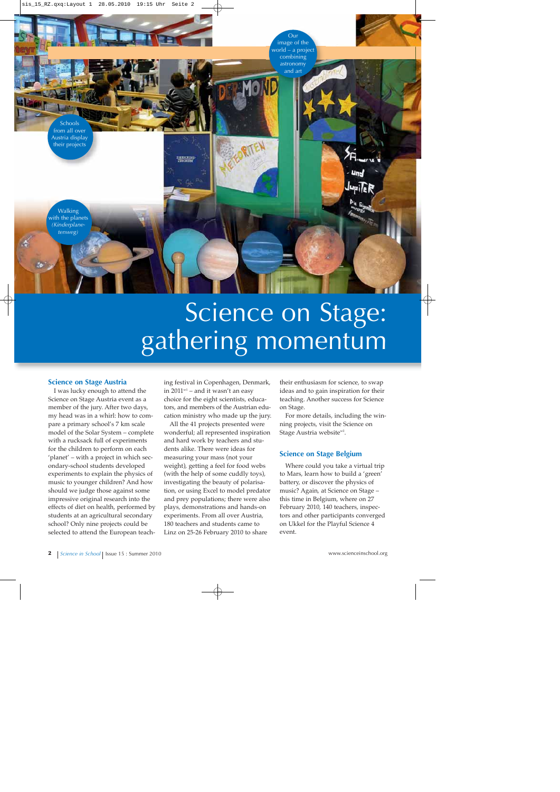

# Science on Stage: gathering momentum

### **Science on Stage Austria**

I was lucky enough to attend the Science on Stage Austria event as a member of the jury. After two days, my head was in a whirl: how to compare a primary school's 7 km scale model of the Solar System – complete with a rucksack full of experiments for the children to perform on each 'planet' – with a project in which secondary-school students developed experiments to explain the physics of music to younger children? And how should we judge those against some impressive original research into the effects of diet on health, performed by students at an agricultural secondary school? Only nine projects could be selected to attend the European teaching festival in Copenhagen, Denmark, in  $2011^{w1}$  – and it wasn't an easy choice for the eight scientists, educators, and members of the Austrian education ministry who made up the jury.

All the 41 projects presented were wonderful; all represented inspiration and hard work by teachers and students alike. There were ideas for measuring your mass (not your weight), getting a feel for food webs (with the help of some cuddly toys), investigating the beauty of polarisation, or using Excel to model predator and prey populations; there were also plays, demonstrations and hands-on experiments. From all over Austria, 180 teachers and students came to Linz on 25-26 February 2010 to share

their enthusiasm for science, to swap ideas and to gain inspiration for their teaching. Another success for Science on Stage.

For more details, including the winning projects, visit the Science on Stage Austria website<sup>w2</sup>.

### **Science on Stage Belgium**

Where could you take a virtual trip to Mars, learn how to build a 'green' battery, or discover the physics of music? Again, at Science on Stage – this time in Belgium, where on 27 February 2010, 140 teachers, inspectors and other participants converged on Ukkel for the Playful Science 4 event.